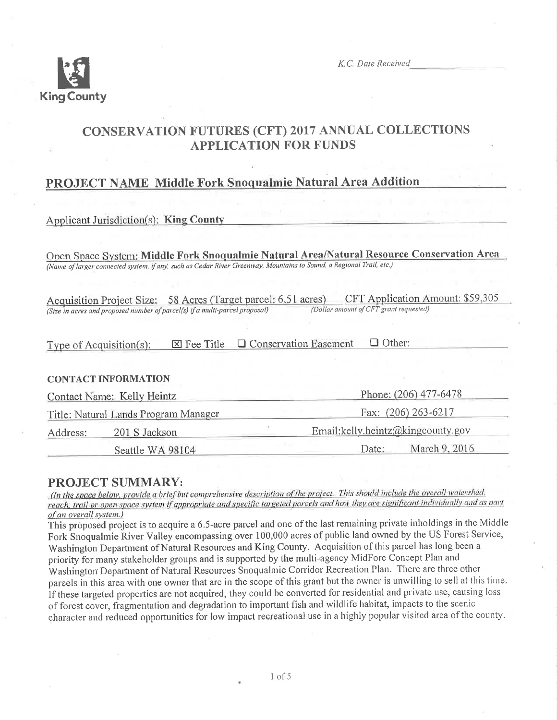

K.C. Date Received

# **CONSERVATION FUTURES (CFT) 2017 ANNUAL COLLECTIONS APPLICATION FOR FUNDS**

# PROJECT NAME Middle Fork Snoqualmie Natural Area Addition

## **Applicant Jurisdiction(s): King County**

Open Space System: Middle Fork Snoqualmie Natural Area/Natural Resource Conservation Area (Name of larger connected system, if any, such as Cedar River Greenway, Mountains to Sound, a Regional Trail, etc.)

Acquisition Project Size: 58 Acres (Target parcel: 6.51 acres) CFT Application Amount: \$59,305 (Dollar amount of CFT grant requested) (Size in acres and proposed number of parcel(s) if a multi-parcel proposal)

| Type of Acquisition $(s)$ : | $\boxtimes$ Fee Title $\Box$ Conservation Easement | $\Box$ Other: |
|-----------------------------|----------------------------------------------------|---------------|
|                             |                                                    |               |

#### **CONTACT INFORMATION**

|          | Contact Name: Kelly Heintz           | Phone: (206) 477-6478             |
|----------|--------------------------------------|-----------------------------------|
|          | Title: Natural Lands Program Manager | Fax: (206) 263-6217               |
| Address: | 201 S Jackson                        | Email:kelly.heintz@kingcounty.gov |
|          | Seattle WA 98104                     | March 9, 2016<br>Date:            |

# **PROJECT SUMMARY:**

(In the space below, provide a brief but comprehensive description of the project. This should include the overall watershed, reach, trail or open space system if appropriate and specific targeted parcels and how they are significant individually and as part of an overall system.)

This proposed project is to acquire a 6.5-acre parcel and one of the last remaining private inholdings in the Middle Fork Snoqualmie River Valley encompassing over 100,000 acres of public land owned by the US Forest Service, Washington Department of Natural Resources and King County. Acquisition of this parcel has long been a priority for many stakeholder groups and is supported by the multi-agency MidForc Concept Plan and Washington Department of Natural Resources Snoqualmie Corridor Recreation Plan. There are three other parcels in this area with one owner that are in the scope of this grant but the owner is unwilling to sell at this time. If these targeted properties are not acquired, they could be converted for residential and private use, causing loss of forest cover, fragmentation and degradation to important fish and wildlife habitat, impacts to the scenic character and reduced opportunities for low impact recreational use in a highly popular visited area of the county.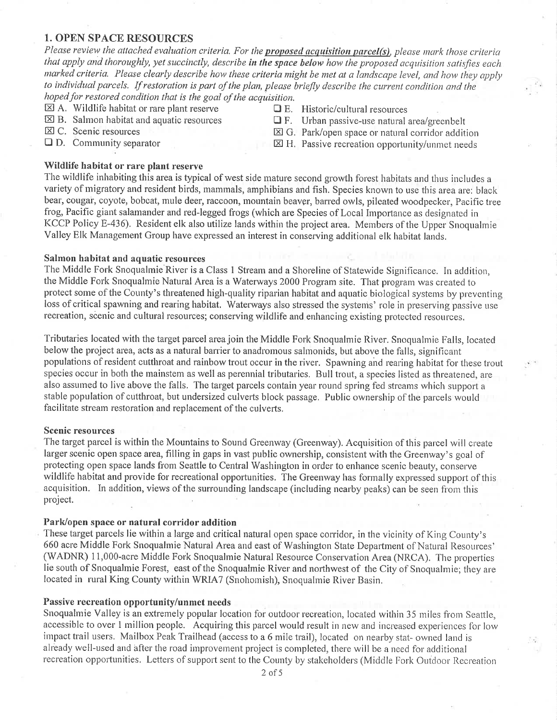#### 1. OPEN SPACE RESOURCES

Please review the attached evaluation criteria. For the proposed acquisition parcel(s), please mark those criteria that apply and thoroughly, yet succinctly, describe in the space below how the proposed acquisition satisfies each marked criteria. Please clearly describe how these criteria might be met at a landscape level, and how they apply to individual parcels. If restoration is part of the plan, please briefly describe the current condition and the hoped for restored condition that is the goal of the acquisition.

- 
- $\boxtimes$  A. Wildlife habitat or rare plant reserve  $\Box$  E. Historic/cultural resources  $\Box$  E. Urban passive-use natural is
- 
- 
- $\boxtimes$  B. Salmon habitat and aquatic resources  $\Box$  F. Urban passive-use natural area/greenbelt  $\boxtimes$  C. Scenic resources  $\boxtimes$  G. Park/open space or natural corridor additional
- 
- $\boxtimes$  C. Scenic resources<br>  $\boxtimes$  G. Park/open space or natural corridor addition<br>  $\boxtimes$  D. Community separator<br>  $\boxtimes$  H. Passive recreation opportunity/unmet needs
	- $\boxtimes$  H. Passive recreation opportunity/unmet needs

#### Wildlife habitat or rare plant reserve

The wildlife inhabiting this area is typical of west side mature second growth forest habitats and thus includes a variety of migratory and resident birds, mammals, amphibians and fish. Species known to use this area are: black bear, cougar, coyote, bobcat, mule deer, raccoon, mountain beaver, barred owls, pileated woodpecker, Pacific tree frog, Pacific giant salamander and red-legged frogs (which are Species of Local Impoftance as designated in KCCP Policy E-436). Resident elk also utilize lands within the project area. Members of the Upper Snoqualmie Valley Elk Management Group have expressed an interest in conserving additional elk habitat lands.

#### Salmon habitat and aquatic resources

The Middle Fork Snoqualmie River is a Class 1 Stream and a Shoreline of Statewide Significance. In addition, the Middle Fork Snoqualmie Natural Area is a Waterways 2000 Program site. That program was created to protect some of the County's threatened high-quality riparian habitat and aquatic biological systems by preventing loss of critical spawning and rearing habitat. Waterways also stressed the systems' role in preserving passive use recreation, scenic and cultural resources; conserving wildlife and enhancing existing protected resources.

Tributaries located with the target parcel area join the Middle Fork Snoqualmie River. Snoqualnrie Falls, located below the project area, acts as a natural barrier to anadromous salmonids, but above the falls, significant populations of resident cutthroat and rainbow trout occur in the river. Spawning and rearing habitat for these trout species occur in both the mainstem as well as perennial tributaries. Bull trout, a species listed as threatened, are also assumed to live above the falls. The target parcels contain year round spring fed streams which support a stable population of cutthroat, but undersized culverts block passage. Public ownership of the parcels would facilitate stream restoration and replacement of the culverts.

#### Scenic resources

The target parcel is within the Mountains to Sound Greenway (Greenway). Acquisition of this parcel will create larger scenic open space area, filling in gaps in vast public ownership, consistent with the Greenway's goal of protecting open space lands from Seattle to Central Washington in order to enhance scenic beauty, conserve wildlife habitat and provide for recreational opportunities. The Greenway has formally expressed support of this acquisition. In addition, views of the surrounding landscape (including nearby peaks) can be seen from this project.

#### Park/open space or natural corridor addition

These target parcels lie within a large and critical natural open space corridor, in the vicinity of King County's 660 acre Middle Fork Snoqualmie Natural Area and east of Washington State Department of Natural Resources' (WADNR) 11,000-acre Middle Fork Srroqualmie Natural Resource Conseryation Area (NRCA). The properties lie south of Snoquahnie Forest, east of the Snoqualmie River and norlhwest of the City of Snoqualnrie; they are located in rural King County within WRIA7 (Snohomish), Snoqualmie River Basin.

#### Passive recreation opportunity/unmet needs

Snoqualmie Valley is an extremely popular location for outdoor recreation, located within 35 miles from Seattle, accessible to over 1 million people. Acquiring this parcel would result in new and increased experiences for low impact trail users. Mailbox Peak Trailhead (access to a 6 mile trail), located on nearby stat- owned land is already well-used and after the road improvement project is completed, there will be a need for additional recreation opportunities. Letters of support sent to the County by stakeholders (Middle Fork Outdoor Recreation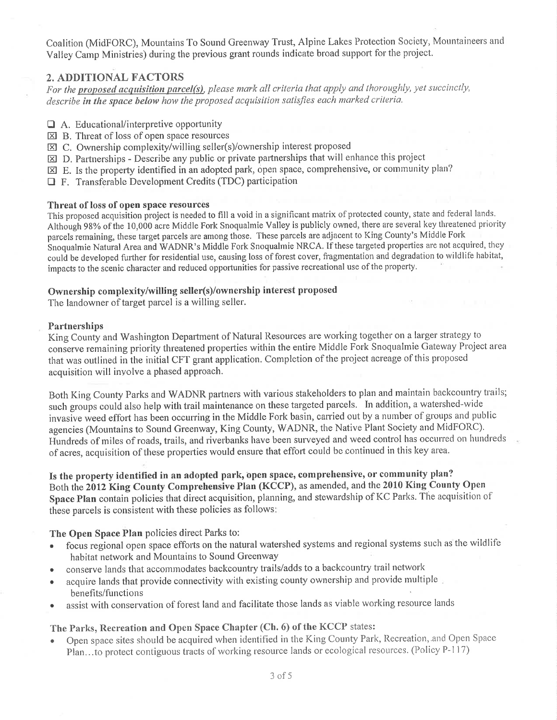Coalition (MidFORC), Mountains To Sound Greenway Trust, Alpine Lakes Protection Society, Mountaineers and Valley Camp Ministries) during the previous grant rounds indicate broad support for the project.

## 2. ADDITIONAL FACTORS

For the proposed acquisition parcel(s), please mark all criteria that apply and thoroughly, yet succinctly, describe in the space below how the proposed acquisition satisfies each marked criteria.

- $\Box$  A. Educational/interpretive opportunity
- $\boxtimes$  B. Threat of loss of open space resources
- $\boxtimes$  C. Ownership complexity/willing seller(s)/ownership interest proposed
- $\boxtimes$  D. Partnerships Describe any public or private partnerships that will enhance this project
- $\boxtimes$  E. Is the property identified in an adopted park, open space, comprehensive, or community plan?
- E F. Transferable Development Credits (TDC) participation

#### Threat of loss of open space resources

This proposed acquisition project is needed to fill a void in a significant matrix of protected county, state and federal lands. Although 98% of the 10,000 acre Middle Fork Snoqualmie Valley is publicly owned, there are several key threatened priority parcels remaining, these target parcels are among those. These parcels are adjacent to King County's Middle Fork Snoqualmie Natural Area and WADNR's Middle Fork Snoqualmie NRCA. If these targeted properties are not acquired, they could be developed further for residential use, causing loss of forest cover, fragmentation and degradation to wildlife habitat, impacts to the scenic character and reduced opportunities for passive recreational use of the property.

### Ownership complexity/willing seller(s)/ownership interest proposed

The landowner of target parcel is a willing seller.

#### Partnerships

King County and Washington Department of Natural Resources are working together on a larger strategy to that was outlined in the initial CFT grant application. Completion of the project acreage of this proposed conserve remaining priority threatened properties within the entire Middle Fork Snoqualmie Gateway Project area acquisition will involve a phased approach.

Both King County Parks and WADNR partners with various stakeholders to plan and maintain backcountry trails; such groups could also help with trail maintenance on these targeted parcels. In addition, a watershed-wide invasive weed effort has been occurring in the Middle Fork basin, carried out by a number of groups and public agencies (Mountains to Sound Greenway, King County, WADNR, the Native Plant Society and MidFORC). Hundreds of miles of roads, trails, and riverbanks have been surveyed and weed control has occurred on hundreds of acres, acquisition of these properties would ensure that effort could be continued in this key area.

Is the property identified in an adopted park, open space, comprehensive, or community plan? Both the 2012 King County Comprehensive Plan (KCCP), as amended, and the 2010 King County Open Space Plan contain policies that direct acquisition, planning, and stewardship of KC Parks. The acquisition of these parcels is consistent with these policies as follows

### The Open Space PIan policies direct Parks to:

- focus regional open space efforts on the natural watershed systems and regional systems such as the wildlife habitat network and Mountains to Sound Greenway
- conserve lands that accommodates backcountry trails/adds to a backcountry trail network
- $\bullet$  acquire lands that provide connectivity with existing county ownership and provide multiple benefits/functions
- assist with conservation of forest land and facilitate those lands as viable working resource lands

## The Parks, Recreation and Open Space Chapter (Ch.6) of the KCCP states:

Open space sites should be acquired when identified in the King County Park, Recreation, and Open Space Plan...to protect contiguous tracts of working resource lands or ecological resources. (Policy P-117)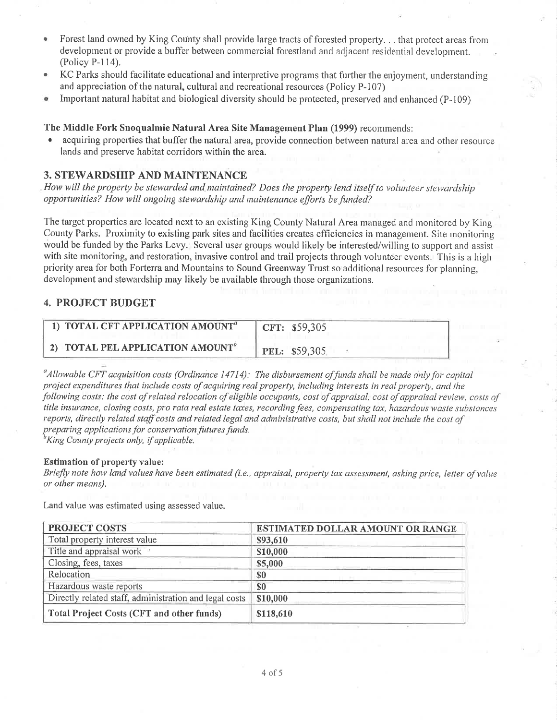- Forest land owned by King County shall provide large tracts of forested property... that protect areas from development or provide a buffer between commercial forestland and adjacent residential development. (Policy P-114).
- KC Parks should facilitate educational and interpretive programs that further the enjoyment, understanding and appreciation of the natural, cultural and recreational resources (Policy P-107)
- Important natural habitat and biological diversity should be protected, preserved and enhanced (P-109)

#### The Middle Fork Snoqualmie Natural Area Site Management Plan (1999) recommends:

acquiring properties that buffer the natural area, provide connection between natural area and other resource lands and preserve habitat corridors within the area.

### **3. STEWARDSHIP AND MAINTENANCE**

How will the property be stewarded and maintained? Does the property lend itself to volunteer stewardship opportunities? How will ongoing stewardship and maintenance efforts be funded?

The target properties are located next to an existing King County Natural Area managed and monitored by King County Parks. Proximity to existing park sites and facilities creates efficiencies in management. Site monitoring would be funded by the Parks Levy. Several user groups would likely be interested/willing to support and assist with site monitoring, and restoration, invasive control and trail projects through volunteer events. This is a high priority area for both Forterra and Mountains to Sound Greenway Trust so additional resources for planning, development and stewardship may likely be available through those organizations.

### **4. PROJECT BUDGET**

| 1) TOTAL CFT APPLICATION AMOUNT <sup>a</sup> | CFT: $$59,305$       |
|----------------------------------------------|----------------------|
| 2) TOTAL PEL APPLICATION AMOUNT <sup>b</sup> | <b>PEL: \$59,305</b> |

 $\alpha$ dllowable CFT acquisition costs (Ordinance 14714). The disbursement of funds shall be made only for capital project expenditures that include costs of acquiring real property, including interests in real property, and the following costs: the cost of related relocation of eligible occupants, cost of appraisal, cost of appraisal review, costs of title insurance, closing costs, pro rata real estate taxes, recording fees, compensating tax, hazardous waste substances reports, directly related staff costs and related legal and administrative costs, but shall not include the cost of preparing applications for conservation futures funds.<br><sup>b</sup>King County projects only, if applicable.

#### **Estimation of property value:**

Briefly note how land values have been estimated (i.e., appraisal, property tax assessment, asking price, letter of value or other means).

Land value was estimated using assessed value.

| <b>PROJECT COSTS</b>                                   | <b>ESTIMATED DOLLAR AMOUNT OR RANGE</b> |
|--------------------------------------------------------|-----------------------------------------|
| Total property interest value                          | \$93,610                                |
| Title and appraisal work                               | \$10,000                                |
| Closing, fees, taxes                                   | \$5,000                                 |
| Relocation                                             | \$0                                     |
| Hazardous waste reports                                | <sup>\$0</sup>                          |
| Directly related staff, administration and legal costs | \$10,000                                |
| <b>Total Project Costs (CFT and other funds)</b>       | \$118,610                               |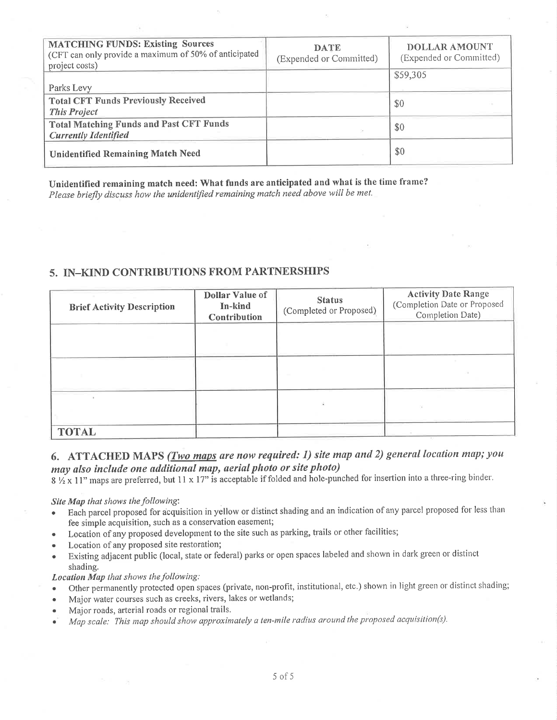| <b>MATCHING FUNDS: Existing Sources</b><br>(CFT can only provide a maximum of 50% of anticipated<br>project costs) | <b>DATE</b><br>(Expended or Committed) | <b>DOLLAR AMOUNT</b><br>(Expended or Committed) |
|--------------------------------------------------------------------------------------------------------------------|----------------------------------------|-------------------------------------------------|
| Parks Levy                                                                                                         |                                        | \$59,305                                        |
| <b>Total CFT Funds Previously Received</b><br><b>This Project</b>                                                  |                                        | \$0                                             |
| <b>Total Matching Funds and Past CFT Funds</b><br><b>Currently Identified</b>                                      |                                        | \$0                                             |
| <b>Unidentified Remaining Match Need</b>                                                                           |                                        | \$0                                             |

Unidentified remaining match need: What funds are anticipated and what is the time frame? Please briefly discuss how the unidentified remaining match need above will be met.

# 5. IN-KIND CONTRIBUTIONS FROM PARTNERSHIPS

| <b>Brief Activity Description</b> | <b>Dollar Value of</b><br>In-kind<br>Contribution | <b>Status</b><br>(Completed or Proposed) | <b>Activity Date Range</b><br>(Completion Date or Proposed<br>Completion Date) |
|-----------------------------------|---------------------------------------------------|------------------------------------------|--------------------------------------------------------------------------------|
|                                   |                                                   |                                          |                                                                                |
|                                   |                                                   |                                          |                                                                                |
|                                   |                                                   |                                          |                                                                                |
| <b>TOTAL</b>                      |                                                   |                                          | -                                                                              |

# 6. ATTACHED MAPS (*Two maps are now required: 1) site map and 2) general location map; you* may also include one additional map, aerial photo or site photo)

 $8\frac{1}{2} \times 11$ " maps are preferred, but 11 x 17" is acceptable if folded and hole-punched for insertion into a three-ring binder.

Site Map that shows the following:

- Each parcel proposed for acquisition in yellow or distinct shading and an indication of any parcel proposed for less than fee simple acquisition, such as a conservation easement,
- Location of any proposed development to the site such as parking, trails or other facilities;
- Location of any proposed site restoration;  $\bullet$
- Existing adjacent public (local, state or federal) parks or open spaces labeled and shown in dark green or distinct shading.

Location Map that shows the following:

- Other permanently protected open spaces (private, non-profit, institutional, etc.) shown in light green or distinct shading;
- Major water courses such as creeks, rivers, lakes or wetlands;
- Major roads, arterial roads or regional trails.  $\bullet$
- Map scale: This map should show approximately a ten-mile radius around the proposed acquisition(s).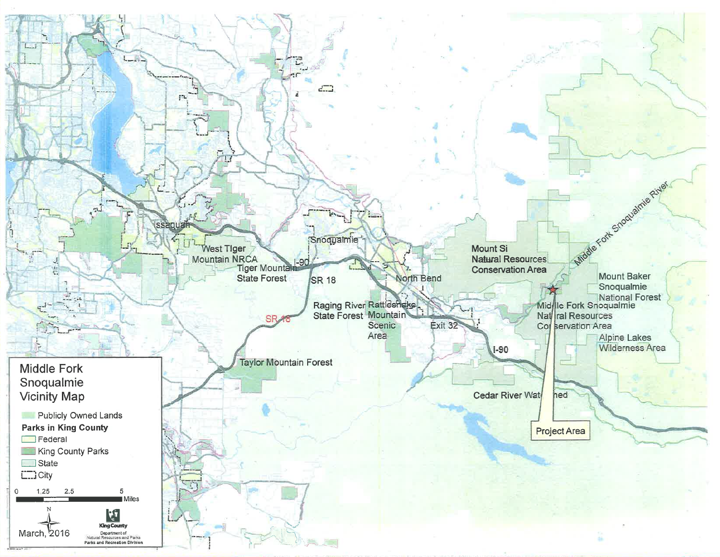